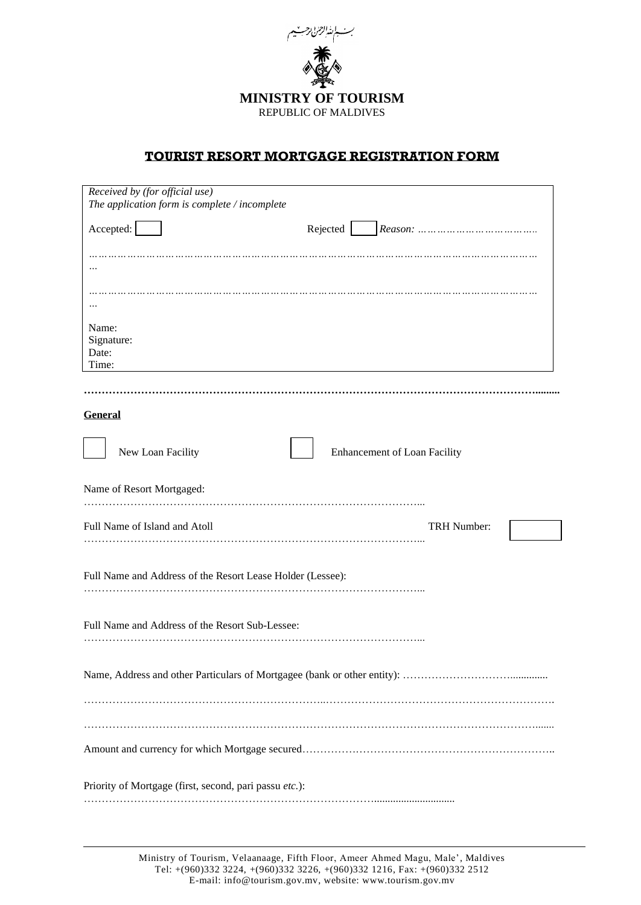

## **TOURIST RESORT MORTGAGE REGISTRATION FORM**

|                           | Received by (for official use)<br>The application form is complete / incomplete |  |          |                              |                    |  |
|---------------------------|---------------------------------------------------------------------------------|--|----------|------------------------------|--------------------|--|
| Accepted:                 |                                                                                 |  | Rejected |                              |                    |  |
|                           |                                                                                 |  |          |                              |                    |  |
|                           |                                                                                 |  |          |                              |                    |  |
| Name:                     |                                                                                 |  |          |                              |                    |  |
| Signature:<br>Date:       |                                                                                 |  |          |                              |                    |  |
| Time:                     |                                                                                 |  |          |                              |                    |  |
|                           |                                                                                 |  |          |                              |                    |  |
| <b>General</b>            |                                                                                 |  |          |                              |                    |  |
|                           | New Loan Facility                                                               |  |          | Enhancement of Loan Facility |                    |  |
| Name of Resort Mortgaged: |                                                                                 |  |          |                              |                    |  |
|                           | Full Name of Island and Atoll                                                   |  |          |                              | <b>TRH Number:</b> |  |
|                           | Full Name and Address of the Resort Lease Holder (Lessee):                      |  |          |                              |                    |  |
|                           | Full Name and Address of the Resort Sub-Lessee:                                 |  |          |                              |                    |  |
|                           |                                                                                 |  |          |                              |                    |  |
|                           |                                                                                 |  |          |                              |                    |  |
|                           |                                                                                 |  |          |                              |                    |  |
|                           | Priority of Mortgage (first, second, pari passu etc.):                          |  |          |                              |                    |  |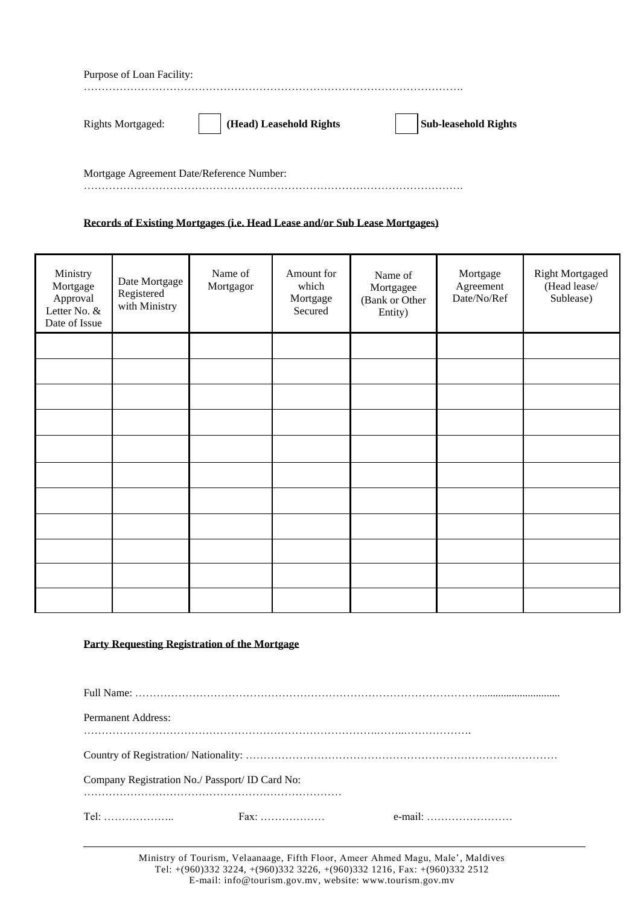| Purpose of Loan Facility: |                         |                             |
|---------------------------|-------------------------|-----------------------------|
|                           |                         | .                           |
| <b>Rights Mortgaged:</b>  | (Head) Leasehold Rights | <b>Sub-leasehold Rights</b> |

Mortgage Agreement Date/Reference Number: …………………………………………………………………………………………….

## **Records of Existing Mortgages (i.e. Head Lease and/or Sub Lease Mortgages)**

| Ministry<br>Mortgage<br>Approval<br>Letter No. &<br>Date of Issue | Date Mortgage<br>Registered<br>with Ministry | Name of<br>Mortgagor | Amount for<br>which<br>Mortgage<br>Secured | Name of<br>Mortgagee<br>(Bank or Other<br>Entity) | Mortgage<br>Agreement<br>Date/No/Ref | <b>Right Mortgaged</b><br>(Head lease/<br>Sublease) |
|-------------------------------------------------------------------|----------------------------------------------|----------------------|--------------------------------------------|---------------------------------------------------|--------------------------------------|-----------------------------------------------------|
|                                                                   |                                              |                      |                                            |                                                   |                                      |                                                     |
|                                                                   |                                              |                      |                                            |                                                   |                                      |                                                     |
|                                                                   |                                              |                      |                                            |                                                   |                                      |                                                     |
|                                                                   |                                              |                      |                                            |                                                   |                                      |                                                     |
|                                                                   |                                              |                      |                                            |                                                   |                                      |                                                     |
|                                                                   |                                              |                      |                                            |                                                   |                                      |                                                     |
|                                                                   |                                              |                      |                                            |                                                   |                                      |                                                     |
|                                                                   |                                              |                      |                                            |                                                   |                                      |                                                     |
|                                                                   |                                              |                      |                                            |                                                   |                                      |                                                     |
|                                                                   |                                              |                      |                                            |                                                   |                                      |                                                     |
|                                                                   |                                              |                      |                                            |                                                   |                                      |                                                     |

## **Party Requesting Registration of the Mortgage**

| <b>Permanent Address:</b>                       |                                    |         |
|-------------------------------------------------|------------------------------------|---------|
|                                                 |                                    |         |
|                                                 |                                    |         |
| Company Registration No./ Passport/ ID Card No: |                                    |         |
|                                                 |                                    |         |
|                                                 | $Fax: \ldots \ldots \ldots \ldots$ | e-mail: |

Ministry of Tourism, Velaanaage, Fifth Floor, Ameer Ahmed Magu, Male', Maldives Tel: +(960)332 3224, +(960)332 3226, +(960)332 1216, Fax: +(960)332 2512 E-mail: info@tourism.gov.mv, website: www.tourism.gov.mv